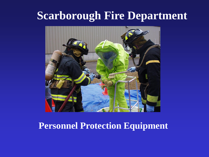# **Scarborough Fire Department**



## **Personnel Protection Equipment**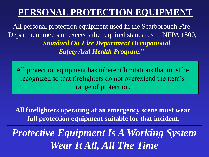All personal protection equipment used in the Scarborough Fire Department meets or exceeds the required standards in NFPA 1500, "*Standard On Fire Department Occupational Safety And Health Program.*"

All protection equipment has inherent limitations that must be recognized so that firefighters do not overextend the item's range of protection.

**All firefighters operating at an emergency scene must wear full protection equipment suitable for that incident.**

*Protective Equipment Is A Working System Wear It All, All The Time*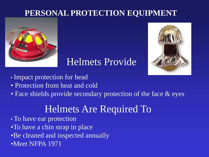

## Helmets Provide



- Impact protection for head
- Protection from heat and cold
- Face shields provide secondary protection of the face & eyes

# Helmets Are Required To

- To have ear protection
- •To have a chin strap in place
- •Be cleaned and inspected annually
- •Meet NFPA 1971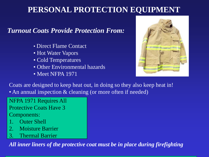#### *Turnout Coats Provide Protection From:*

- Direct Flame Contact
- Hot Water Vapors
- Cold Temperatures
- Other Environmental hazards
- Meet NFPA 1971



Coats are designed to keep heat out, in doing so they also keep heat in! • An annual inspection & cleaning (or more often if needed)

NFPA 1971 Requires All Protective Coats Have 3 Components:

- **Outer Shell**
- 2. Moisture Barrier
- 3. Thermal Barrier

*All inner liners of the protective coat must be in place during firefighting*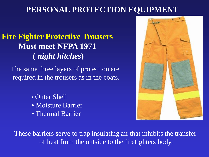## **Fire Fighter Protective Trousers Must meet NFPA 1971 (** *night hitches***)**

The same three layers of protection are required in the trousers as in the coats.

- Outer Shell
- Moisture Barrier
- Thermal Barrier



These barriers serve to trap insulating air that inhibits the transfer of heat from the outside to the firefighters body.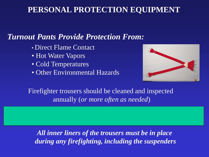### *Turnout Pants Provide Protection From:*

- Direct Flame Contact
- Hot Water Vapors
- Cold Temperatures
- Other Environmental Hazards



Firefighter trousers should be cleaned and inspected annually (*or more often as needed*)

*All inner liners of the trousers must be in place during any firefighting, including the suspenders*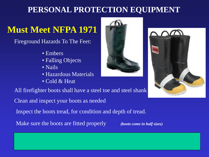# **Must Meet NFPA 1971**

Fireground Hazards To The Feet:

- Embers
- Falling Objects
- Nails
- Hazardous Materials
- Cold & Heat

All firefighter boots shall have a steel toe and steel shank

Clean and inspect your boots as needed

Inspect the boots tread, for condition and depth of tread.

Make sure the boots are fitted properly *(boots come in half sizes)*



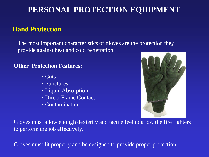#### **Hand Protection**

The most important characteristics of gloves are the protection they provide against heat and cold penetration.

#### **Other Protection Features:**

- Cuts
- Punctures
- Liquid Absorption
- Direct Flame Contact
- Contamination



Gloves must allow enough dexterity and tactile feel to allow the fire fighters to perform the job effectively.

Gloves must fit properly and be designed to provide proper protection.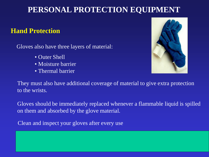#### **Hand Protection**

Gloves also have three layers of material:

- Outer Shell
- Moisture barrier
- Thermal barrier



They must also have additional coverage of material to give extra protection to the wrists.

Gloves should be immediately replaced whenever a flammable liquid is spilled on them and absorbed by the glove material.

Clean and inspect your gloves after every use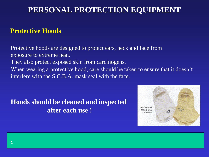#### **Protective Hoods**

Protective hoods are designed to protect ears, neck and face from exposure to extreme heat. They also protect exposed skin from carcinogens. When wearing a protective hood, care should be taken to ensure that it doesn't interfere with the S.C.B.A. mask seal with the face.

#### **Hoods should be cleaned and inspected after each use !**

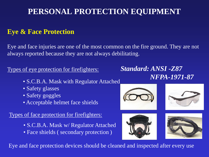#### **Eye & Face Protection**

Eye and face injuries are one of the most common on the fire ground. They are not always reported because they are not always debilitating.

Types of eye protection for firefighters:

- S.C.B.A. Mask with Regulator Attached
- Safety glasses
- Safety goggles
- Acceptable helmet face shields

Types of face protection for firefighters:

- S.C.B.A. Mask w/ Regulator Attached
- Face shields ( secondary protection )

*Standard: ANSI -Z87 NFPA-1971-87*









Eye and face protection devices should be cleaned and inspected after every use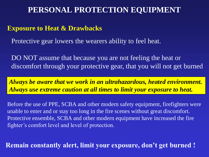#### **Exposure to Heat & Drawbacks**

Protective gear lowers the wearers ability to feel heat.

DO NOT assume that because you are not feeling the heat or discomfort through your protective gear, that you will not get burned

*Always be aware that we work in an ultrahazardous, heated environment. Always use extreme caution at all times to limit your exposure to heat.*

Before the use of PPE, SCBA and other modern safety equipment, firefighters were unable to enter and or stay too long in the fire scenes without great discomfort. Protective ensemble, SCBA and other modern equipment have increased the fire fighter's comfort level and level of protection.

**Remain constantly alert, limit your exposure, don't get burned !**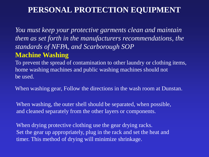*You must keep your protective garments clean and maintain them as set forth in the manufacturers recommendations, the standards of NFPA, and Scarborough SOP*

#### **Machine Washing**

To prevent the spread of contamination to other laundry or clothing items, home washing machines and public washing machines should not be used.

When washing gear, Follow the directions in the wash room at Dunstan.

When washing, the outer shell should be separated, when possible, and cleaned separately from the other layers or components.

When drying protective clothing use the gear drying racks. Set the gear up appropriately, plug in the rack and set the heat and timer. This method of drying will minimize shrinkage.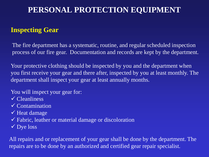#### **Inspecting Gear**

The fire department has a systematic, routine, and regular scheduled inspection process of our fire gear. Documentation and records are kept by the department.

Your protective clothing should be inspected by you and the department when you first receive your gear and there after, inspected by you at least monthly. The department shall inspect your gear at least annually months.

You will inspect your gear for:

- Cleanliness
- $\sqrt{\frac{1}{100}}$ Contamination
- $\checkmark$  Heat damage
- Fabric, leather or material damage or discoloration
- $\checkmark$  Dye loss

All repairs and or replacement of your gear shall be done by the department. The repairs are to be done by an authorized and certified gear repair specialist.